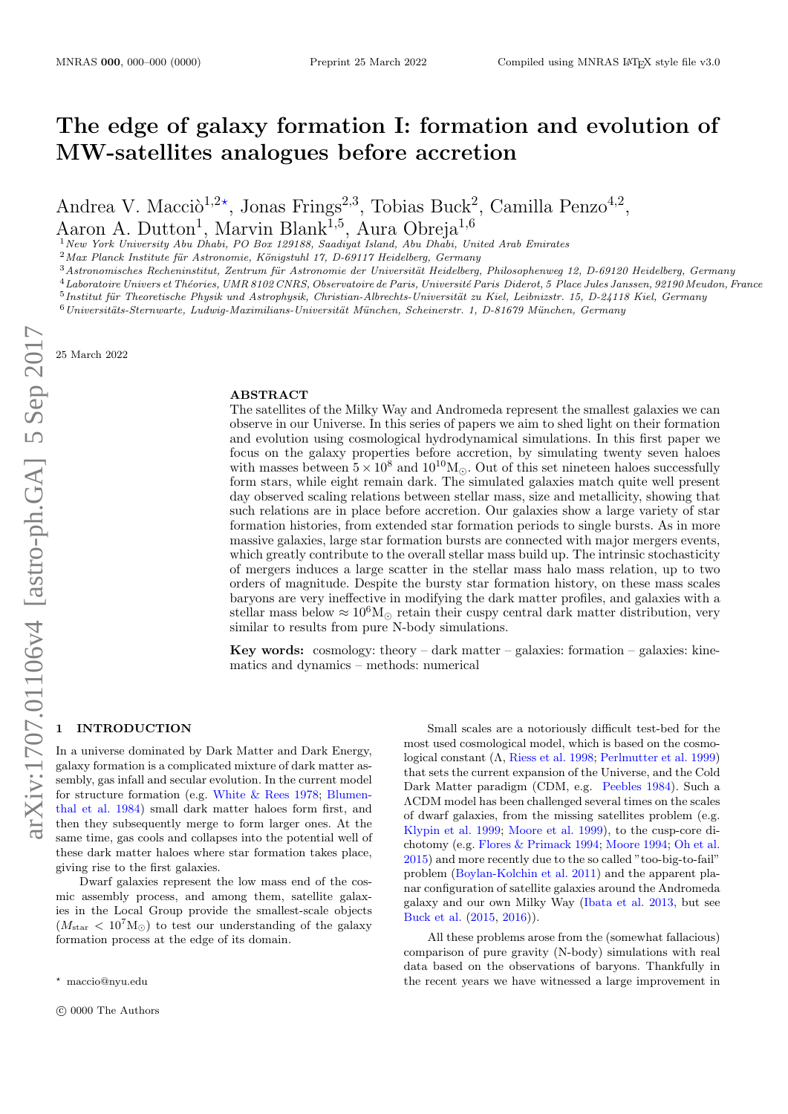# The edge of galaxy formation I: formation and evolution of MW-satellites analogues before accretion

Andrea V. Macci $\delta^{1,2*}$ , Jonas Frings<sup>2,3</sup>, Tobias Buck<sup>2</sup>, Camilla Penzo<sup>4,2</sup>,

Aaron A. Dutton<sup>1</sup>, Marvin Blank<sup>1,5</sup>, Aura Obreja<sup>1,6</sup>

<sup>1</sup>New York University Abu Dhabi, PO Box 129188, Saadiyat Island, Abu Dhabi, United Arab Emirates

 $2$ Max Planck Institute für Astronomie, Königstuhl 17, D-69117 Heidelberg, Germany

 $3$ Astronomisches Recheninstitut, Zentrum für Astronomie der Universität Heidelberg, Philosophenweg 12, D-69120 Heidelberg, Germany

 $^4\emph{Laboratoire Univers et Théories, UMR 8102 CNRS, Observatoire de Paris, Université Paris Diderot, 5 Place Jules Janssen, 92190 Meudon, France}$ 

 $^{5}$ Institut für Theoretische Physik und Astrophysik, Christian-Albrechts-Universität zu Kiel, Leibnizstr. 15, D-24118 Kiel, Germany

 $^6$ Universitäts-Sternwarte, Ludwig-Maximilians-Universität München, Scheinerstr. 1, D-81679 München, Germany

25 March 2022

## ABSTRACT

The satellites of the Milky Way and Andromeda represent the smallest galaxies we can observe in our Universe. In this series of papers we aim to shed light on their formation and evolution using cosmological hydrodynamical simulations. In this first paper we focus on the galaxy properties before accretion, by simulating twenty seven haloes with masses between  $5 \times 10^8$  and  $10^{10}$ M<sub> $\odot$ </sub>. Out of this set nineteen haloes successfully form stars, while eight remain dark. The simulated galaxies match quite well present day observed scaling relations between stellar mass, size and metallicity, showing that such relations are in place before accretion. Our galaxies show a large variety of star formation histories, from extended star formation periods to single bursts. As in more massive galaxies, large star formation bursts are connected with major mergers events, which greatly contribute to the overall stellar mass build up. The intrinsic stochasticity of mergers induces a large scatter in the stellar mass halo mass relation, up to two orders of magnitude. Despite the bursty star formation history, on these mass scales baryons are very ineffective in modifying the dark matter profiles, and galaxies with a stellar mass below  $\approx 10^6 M_{\odot}$  retain their cuspy central dark matter distribution, very similar to results from pure N-body simulations.

Key words: cosmology: theory – dark matter – galaxies: formation – galaxies: kinematics and dynamics – methods: numerical

## **INTRODUCTION**

In a universe dominated by Dark Matter and Dark Energy, galaxy formation is a complicated mixture of dark matter assembly, gas infall and secular evolution. In the current model for structure formation (e.g. [White & Rees](#page-11-0) [1978;](#page-11-0) [Blumen](#page-10-0)[thal et al.](#page-10-0) [1984\)](#page-10-0) small dark matter haloes form first, and then they subsequently merge to form larger ones. At the same time, gas cools and collapses into the potential well of these dark matter haloes where star formation takes place, giving rise to the first galaxies.

Dwarf galaxies represent the low mass end of the cosmic assembly process, and among them, satellite galaxies in the Local Group provide the smallest-scale objects  $(M_{\text{star}} < 10^7 M_{\odot})$  to test our understanding of the galaxy formation process at the edge of its domain.

Small scales are a notoriously difficult test-bed for the most used cosmological model, which is based on the cosmological constant (Λ, [Riess et al.](#page-10-1) [1998;](#page-10-1) [Perlmutter et al.](#page-10-2) [1999\)](#page-10-2) that sets the current expansion of the Universe, and the Cold Dark Matter paradigm (CDM, e.g. [Peebles](#page-10-3) [1984\)](#page-10-3). Such a ΛCDM model has been challenged several times on the scales of dwarf galaxies, from the missing satellites problem (e.g. [Klypin et al.](#page-10-4) [1999;](#page-10-4) [Moore et al.](#page-10-5) [1999\)](#page-10-5), to the cusp-core dichotomy (e.g. [Flores & Primack](#page-10-6) [1994;](#page-10-6) [Moore](#page-10-7) [1994;](#page-10-7) [Oh et al.](#page-10-8) [2015\)](#page-10-8) and more recently due to the so called "too-big-to-fail" problem [\(Boylan-Kolchin et al.](#page-10-9) [2011\)](#page-10-9) and the apparent planar configuration of satellite galaxies around the Andromeda galaxy and our own Milky Way [\(Ibata et al.](#page-10-10) [2013,](#page-10-10) but see [Buck et al.](#page-10-11) [\(2015,](#page-10-11) [2016\)](#page-10-12)).

All these problems arose from the (somewhat fallacious) comparison of pure gravity (N-body) simulations with real data based on the observations of baryons. Thankfully in the recent years we have witnessed a large improvement in

 $*$  maccio@nyu.edu

 $\odot$  0000 The Authors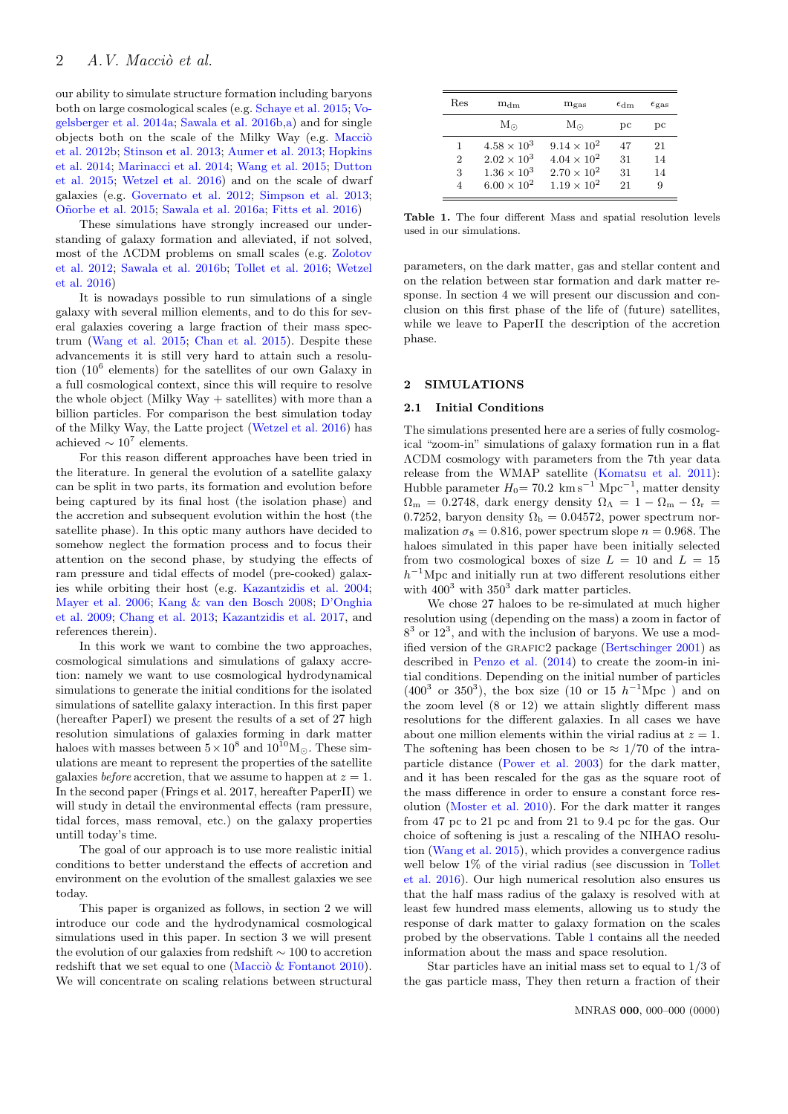our ability to simulate structure formation including baryons both on large cosmological scales (e.g. [Schaye et al.](#page-10-13) [2015;](#page-10-13) [Vo](#page-11-1)[gelsberger et al.](#page-11-1) [2014a;](#page-11-1) [Sawala et al.](#page-10-14) [2016b,](#page-10-14)[a\)](#page-10-15) and for single objects both on the scale of the Milky Way (e.g. Maccio [et al.](#page-10-16) [2012b;](#page-10-16) [Stinson et al.](#page-10-17) [2013;](#page-10-17) [Aumer et al.](#page-9-0) [2013;](#page-9-0) [Hopkins](#page-10-18) [et al.](#page-10-18) [2014;](#page-10-18) [Marinacci et al.](#page-10-19) [2014;](#page-10-19) [Wang et al.](#page-11-2) [2015;](#page-11-2) [Dutton](#page-10-20) [et al.](#page-10-20) [2015;](#page-10-20) [Wetzel et al.](#page-11-3) [2016\)](#page-11-3) and on the scale of dwarf galaxies (e.g. [Governato et al.](#page-10-21) [2012;](#page-10-21) [Simpson et al.](#page-10-22) [2013;](#page-10-22) [O˜norbe et al.](#page-10-23) [2015;](#page-10-23) [Sawala et al.](#page-10-15) [2016a;](#page-10-15) [Fitts et al.](#page-10-24) [2016\)](#page-10-24)

These simulations have strongly increased our understanding of galaxy formation and alleviated, if not solved, most of the ΛCDM problems on small scales (e.g. [Zolotov](#page-11-4) [et al.](#page-11-4) [2012;](#page-11-4) [Sawala et al.](#page-10-14) [2016b;](#page-10-14) [Tollet et al.](#page-11-5) [2016;](#page-11-5) [Wetzel](#page-11-3) [et al.](#page-11-3) [2016\)](#page-11-3)

It is nowadays possible to run simulations of a single galaxy with several million elements, and to do this for several galaxies covering a large fraction of their mass spectrum [\(Wang et al.](#page-11-2) [2015;](#page-11-2) [Chan et al.](#page-10-25) [2015\)](#page-10-25). Despite these advancements it is still very hard to attain such a resolution (10<sup>6</sup> elements) for the satellites of our own Galaxy in a full cosmological context, since this will require to resolve the whole object (Milky Way  $+$  satellites) with more than a billion particles. For comparison the best simulation today of the Milky Way, the Latte project [\(Wetzel et al.](#page-11-3) [2016\)](#page-11-3) has achieved  $\sim 10^7$  elements.

For this reason different approaches have been tried in the literature. In general the evolution of a satellite galaxy can be split in two parts, its formation and evolution before being captured by its final host (the isolation phase) and the accretion and subsequent evolution within the host (the satellite phase). In this optic many authors have decided to somehow neglect the formation process and to focus their attention on the second phase, by studying the effects of ram pressure and tidal effects of model (pre-cooked) galaxies while orbiting their host (e.g. [Kazantzidis et al.](#page-10-26) [2004;](#page-10-26) [Mayer et al.](#page-10-27) [2006;](#page-10-27) [Kang & van den Bosch](#page-10-28) [2008;](#page-10-28) [D'Onghia](#page-10-29) [et al.](#page-10-29) [2009;](#page-10-29) [Chang et al.](#page-10-30) [2013;](#page-10-30) [Kazantzidis et al.](#page-10-31) [2017,](#page-10-31) and references therein).

In this work we want to combine the two approaches, cosmological simulations and simulations of galaxy accretion: namely we want to use cosmological hydrodynamical simulations to generate the initial conditions for the isolated simulations of satellite galaxy interaction. In this first paper (hereafter PaperI) we present the results of a set of 27 high resolution simulations of galaxies forming in dark matter haloes with masses between  $5 \times 10^8$  and  $10^{10}$ M<sub>O</sub>. These simulations are meant to represent the properties of the satellite galaxies *before* accretion, that we assume to happen at  $z = 1$ . In the second paper (Frings et al. 2017, hereafter PaperII) we will study in detail the environmental effects (ram pressure, tidal forces, mass removal, etc.) on the galaxy properties untill today's time.

The goal of our approach is to use more realistic initial conditions to better understand the effects of accretion and environment on the evolution of the smallest galaxies we see today.

This paper is organized as follows, in section 2 we will introduce our code and the hydrodynamical cosmological simulations used in this paper. In section 3 we will present the evolution of our galaxies from redshift ∼ 100 to accretion redshift that we set equal to one (Macci $\&$  Fontanot [2010\)](#page-10-32). We will concentrate on scaling relations between structural

<span id="page-1-0"></span>

| Res            | $m_{dm}$             | $m_{\rm gas}$        | $\epsilon_{\rm dm}$ | $\epsilon_{\rm gas}$ |
|----------------|----------------------|----------------------|---------------------|----------------------|
|                | $\rm M_{\odot}$      | $M_{\odot}$          | pс                  | pc                   |
| 1              | $4.58 \times 10^{3}$ | $9.14 \times 10^{2}$ | 47                  | 21                   |
| $\overline{2}$ | $2.02 \times 10^{3}$ | $4.04 \times 10^{2}$ | 31                  | 14                   |
| 3              | $1.36 \times 10^{3}$ | $2.70 \times 10^{2}$ | 31                  | 14                   |
| 4              | $6.00 \times 10^{2}$ | $1.19 \times 10^{2}$ | 21                  | 9                    |

Table 1. The four different Mass and spatial resolution levels used in our simulations.

parameters, on the dark matter, gas and stellar content and on the relation between star formation and dark matter response. In section 4 we will present our discussion and conclusion on this first phase of the life of (future) satellites, while we leave to PaperII the description of the accretion phase.

## 2 SIMULATIONS

 $\overline{a}$ 

## 2.1 Initial Conditions

The simulations presented here are a series of fully cosmological "zoom-in" simulations of galaxy formation run in a flat ΛCDM cosmology with parameters from the 7th year data release from the WMAP satellite [\(Komatsu et al.](#page-10-33) [2011\)](#page-10-33): Hubble parameter  $H_0 = 70.2$  km s<sup>-1</sup> Mpc<sup>-1</sup>, matter density  $\Omega_{\rm m} = 0.2748$ , dark energy density  $\Omega_{\Lambda} = 1 - \Omega_{\rm m} - \Omega_{\rm r} =$ 0.7252, baryon density  $\Omega_{\rm b} = 0.04572$ , power spectrum normalization  $\sigma_8 = 0.816$ , power spectrum slope  $n = 0.968$ . The haloes simulated in this paper have been initially selected from two cosmological boxes of size  $L = 10$  and  $L = 15$  $h^{-1}$ Mpc and initially run at two different resolutions either with  $400^3$  with  $350^3$  dark matter particles.

We chose 27 haloes to be re-simulated at much higher resolution using (depending on the mass) a zoom in factor of  $8<sup>3</sup>$  or  $12<sup>3</sup>$ , and with the inclusion of baryons. We use a mod-ified version of the GRAFIC2 package [\(Bertschinger](#page-9-1) [2001\)](#page-9-1) as described in [Penzo et al.](#page-10-34) [\(2014\)](#page-10-34) to create the zoom-in initial conditions. Depending on the initial number of particles  $(400^3 \text{ or } 350^3)$ , the box size  $(10 \text{ or } 15 \text{ } h^{-1}\text{Mpc})$  and on the zoom level (8 or 12) we attain slightly different mass resolutions for the different galaxies. In all cases we have about one million elements within the virial radius at  $z = 1$ . The softening has been chosen to be  $\approx 1/70$  of the intraparticle distance [\(Power et al.](#page-10-35) [2003\)](#page-10-35) for the dark matter, and it has been rescaled for the gas as the square root of the mass difference in order to ensure a constant force resolution [\(Moster et al.](#page-10-36) [2010\)](#page-10-36). For the dark matter it ranges from 47 pc to 21 pc and from 21 to 9.4 pc for the gas. Our choice of softening is just a rescaling of the NIHAO resolution [\(Wang et al.](#page-11-2) [2015\)](#page-11-2), which provides a convergence radius well below  $1\%$  of the virial radius (see discussion in [Tollet](#page-11-5) [et al.](#page-11-5) [2016\)](#page-11-5). Our high numerical resolution also ensures us that the half mass radius of the galaxy is resolved with at least few hundred mass elements, allowing us to study the response of dark matter to galaxy formation on the scales probed by the observations. Table [1](#page-1-0) contains all the needed information about the mass and space resolution.

Star particles have an initial mass set to equal to 1/3 of the gas particle mass, They then return a fraction of their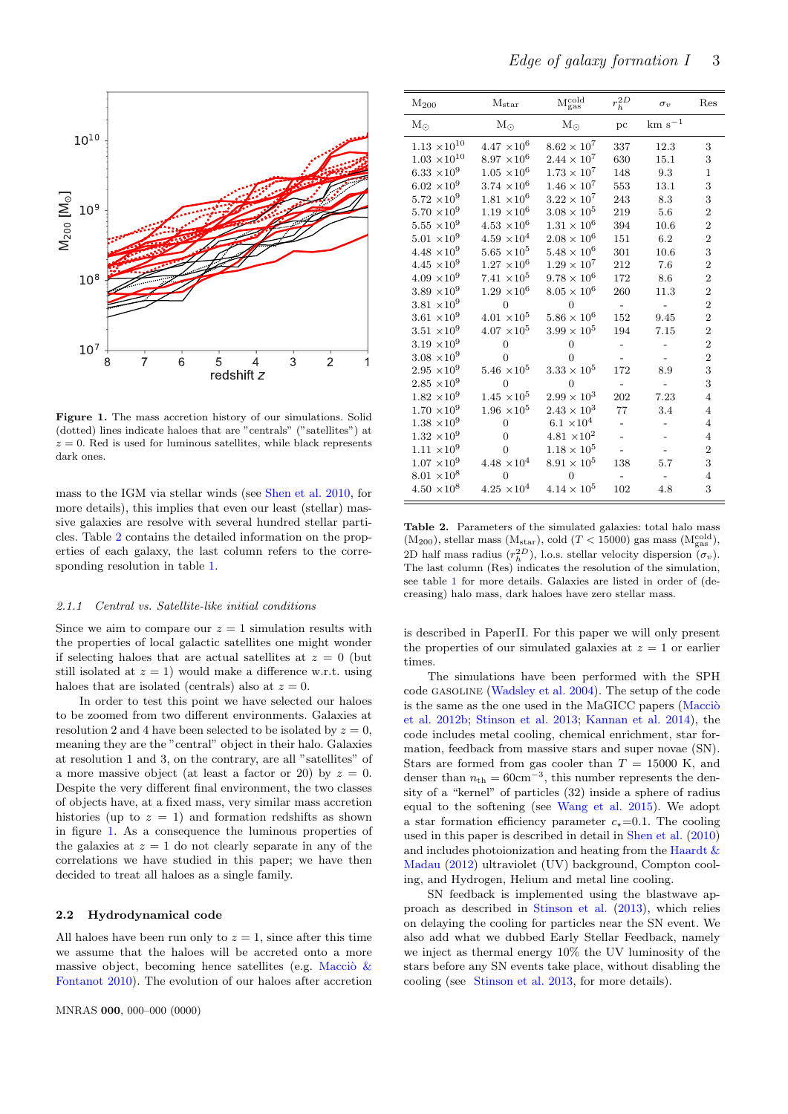

<span id="page-2-1"></span>Figure 1. The mass accretion history of our simulations. Solid (dotted) lines indicate haloes that are "centrals" ("satellites") at  $z = 0$ . Red is used for luminous satellites, while black represents dark ones.

mass to the IGM via stellar winds (see [Shen et al.](#page-10-37) [2010,](#page-10-37) for more details), this implies that even our least (stellar) massive galaxies are resolve with several hundred stellar particles. Table [2](#page-2-0) contains the detailed information on the properties of each galaxy, the last column refers to the corresponding resolution in table [1.](#page-1-0)

### 2.1.1 Central vs. Satellite-like initial conditions

Since we aim to compare our  $z = 1$  simulation results with the properties of local galactic satellites one might wonder if selecting haloes that are actual satellites at  $z = 0$  (but still isolated at  $z = 1$ ) would make a difference w.r.t. using haloes that are isolated (centrals) also at  $z = 0$ .

In order to test this point we have selected our haloes to be zoomed from two different environments. Galaxies at resolution 2 and 4 have been selected to be isolated by  $z = 0$ , meaning they are the "central" object in their halo. Galaxies at resolution 1 and 3, on the contrary, are all "satellites" of a more massive object (at least a factor or 20) by  $z = 0$ . Despite the very different final environment, the two classes of objects have, at a fixed mass, very similar mass accretion histories (up to  $z = 1$ ) and formation redshifts as shown in figure [1.](#page-2-1) As a consequence the luminous properties of the galaxies at  $z = 1$  do not clearly separate in any of the correlations we have studied in this paper; we have then decided to treat all haloes as a single family.

#### 2.2 Hydrodynamical code

All haloes have been run only to  $z = 1$ , since after this time we assume that the haloes will be accreted onto a more massive object, becoming hence satellites (e.g. Maccio  $\&$ [Fontanot](#page-10-32) [2010\)](#page-10-32). The evolution of our haloes after accretion

| $M_{200}$             | $\rm M_{\rm star}$   | $\rm M_{gas}^{cold}$   | $r_h^{2D}$ | $\sigma_v$      | Res            |
|-----------------------|----------------------|------------------------|------------|-----------------|----------------|
| $\rm M_{\odot}$       | $\rm M_{\odot}$      | $M_{\odot}$            | pc         | $\rm km~s^{-1}$ |                |
| $1.13 \times 10^{10}$ | $4.47 \times 10^{6}$ | $8.62 \times 10^{7}$   | 337        | 12.3            | 3              |
| $1.03 \times 10^{10}$ | $8.97 \times 10^{6}$ | $2.44 \times 10^{7}$   | 630        | 15.1            | 3              |
| $6.33 \times 10^{9}$  | $1.05 \times 10^{6}$ | $1.73 \times 10^{7}$   | 148        | 9.3             | $\mathbf{1}$   |
| $6.02 \times 10^{9}$  | $3.74 \times 10^6$   | $1.46\times10^7$       | 553        | 13.1            | 3              |
| $5.72\ \times\!10^9$  | $1.81 \times 10^{6}$ | $3.22 \times 10^{7}$   | 243        | 8.3             | 3              |
| $5.70 \times 10^{9}$  | $1.19 \times 10^{6}$ | $3.08 \times 10^{5}$   | 219        | 5.6             | $\overline{2}$ |
| $5.55 \times 10^{9}$  | $4.53 \times 10^{6}$ | $1.31 \times 10^{6}$   | 394        | 10.6            | $\overline{2}$ |
| $5.01 \times 10^{9}$  | $4.59 \times 10^{4}$ | $2.08 \times 10^{6}$   | 151        | 6.2             | $\overline{2}$ |
| $4.48 \times 10^{9}$  | $5.65 \times 10^5$   | $5.48 \times 10^{6}$   | 301        | 10.6            | 3              |
| $4.45 \times 10^{9}$  | $1.27 \times 10^{6}$ | $1.29 \times 10^{7}$   | 212        | 7.6             | $\overline{2}$ |
| $4.09 \times 10^{9}$  | $7.41 \times 10^5$   | $9.78 \times 10^6$     | 172        | 8.6             | $\overline{2}$ |
| $3.89 \times 10^{9}$  | $1.29 \times 10^{6}$ | $8.05 \times 10^{6}$   | 260        | 11.3            | $\overline{2}$ |
| $3.81 \times 10^{9}$  | $\overline{0}$       | $\overline{0}$         |            |                 | $\overline{2}$ |
| $3.61 \times 10^{9}$  | $4.01 \times 10^5$   | $5.86 \times 10^{6}$   | $152\,$    | 9.45            | $\overline{2}$ |
| $3.51 \times 10^{9}$  | $4.07 \times 10^5$   | $3.99 \times 10^5$     | 194        | 7.15            | $\overline{2}$ |
| $3.19 \times 10^{9}$  | $\overline{0}$       | $\overline{0}$         |            |                 | $\overline{2}$ |
| $3.08 \times 10^{9}$  | $\Omega$             | $\overline{0}$         |            |                 | $\overline{2}$ |
| $2.95 \times 10^9$    | $5.46 \times 10^5$   | $3.33 \times 10^5$     | 172        | 8.9             | 3              |
| $2.85 \times 10^{9}$  | $\theta$             | $\Omega$               |            |                 | 3              |
| $1.82 \times 10^9$    | $1.45 \times 10^5$   | $2.99 \times 10^{3}$   | 202        | 7.23            | $\overline{4}$ |
| $1.70 \times 10^{9}$  | $1.96 \times 10^5$   | $2.43 \times 10^{3}$   | 77         | 3.4             | $\overline{4}$ |
| $1.38 \times 10^{9}$  | $\theta$             | $6.1 \times 10^{4}$    |            |                 | $\overline{4}$ |
| $1.32 \times 10^9$    | $\overline{0}$       | $4.81\ \times\!10^{2}$ |            |                 | $\overline{4}$ |
| $1.11 \times 10^{9}$  | $\theta$             | $1.18 \times 10^{5}$   |            |                 | $\overline{2}$ |
| $1.07 \times 10^{9}$  | $4.48 \times 10^{4}$ | $8.91 \times 10^{5}$   | 138        | 5.7             | 3              |
| $8.01 \times 10^8$    | $\Omega$             |                        |            |                 | $\overline{4}$ |
| $4.50 \times 10^8$    | $4.25 \times 10^{4}$ | $4.14 \times 10^{5}$   | 102        | 4.8             | 3              |

<span id="page-2-0"></span>Table 2. Parameters of the simulated galaxies: total halo mass  $(M_{200})$ , stellar mass  $(M_{star})$ , cold  $(T < 15000)$  gas mass  $(M_{gas}^{cold})$ , 2D half mass radius  $(r_h^{2D})$ , l.o.s. stellar velocity dispersion  $(\sigma_v)$ . The last column (Res) indicates the resolution of the simulation, see table [1](#page-1-0) for more details. Galaxies are listed in order of (decreasing) halo mass, dark haloes have zero stellar mass.

is described in PaperII. For this paper we will only present the properties of our simulated galaxies at  $z = 1$  or earlier times.

The simulations have been performed with the SPH code gasoline [\(Wadsley et al.](#page-11-6) [2004\)](#page-11-6). The setup of the code is the same as the one used in the MaGICC papers  $(Maccio)$ [et al.](#page-10-16) [2012b;](#page-10-16) [Stinson et al.](#page-10-17) [2013;](#page-10-17) [Kannan et al.](#page-10-38) [2014\)](#page-10-38), the code includes metal cooling, chemical enrichment, star formation, feedback from massive stars and super novae (SN). Stars are formed from gas cooler than  $T = 15000$  K, and denser than  $n_{\text{th}} = 60 \text{cm}^{-3}$ , this number represents the density of a "kernel" of particles (32) inside a sphere of radius equal to the softening (see [Wang et al.](#page-11-2) [2015\)](#page-11-2). We adopt a star formation efficiency parameter  $c_*=0.1$ . The cooling used in this paper is described in detail in [Shen et al.](#page-10-37) [\(2010\)](#page-10-37) and includes photoionization and heating from the [Haardt &](#page-10-39) [Madau](#page-10-39) [\(2012\)](#page-10-39) ultraviolet (UV) background, Compton cooling, and Hydrogen, Helium and metal line cooling.

SN feedback is implemented using the blastwave approach as described in [Stinson et al.](#page-10-17) [\(2013\)](#page-10-17), which relies on delaying the cooling for particles near the SN event. We also add what we dubbed Early Stellar Feedback, namely we inject as thermal energy 10% the UV luminosity of the stars before any SN events take place, without disabling the cooling (see [Stinson et al.](#page-10-17) [2013,](#page-10-17) for more details).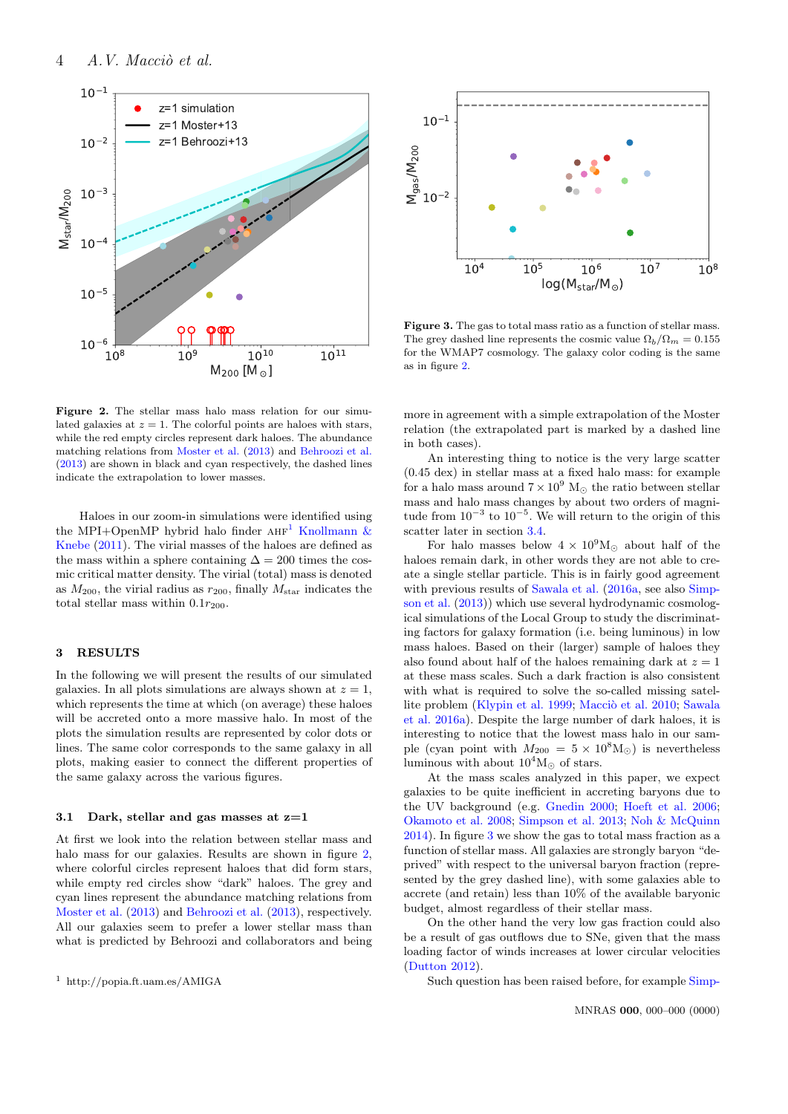

<span id="page-3-1"></span>Figure 2. The stellar mass halo mass relation for our simulated galaxies at  $z = 1$ . The colorful points are haloes with stars, while the red empty circles represent dark haloes. The abundance matching relations from [Moster et al.](#page-10-40) [\(2013\)](#page-10-40) and [Behroozi et al.](#page-9-2) [\(2013\)](#page-9-2) are shown in black and cyan respectively, the dashed lines indicate the extrapolation to lower masses.

Haloes in our zoom-in simulations were identified using the MPI+OpenMP hybrid halo finder  $AHF<sup>1</sup>$  $AHF<sup>1</sup>$  $AHF<sup>1</sup>$  [Knollmann &](#page-10-41) [Knebe](#page-10-41) [\(2011\)](#page-10-41). The virial masses of the haloes are defined as the mass within a sphere containing  $\Delta = 200$  times the cosmic critical matter density. The virial (total) mass is denoted as  $M_{200}$ , the virial radius as  $r_{200}$ , finally  $M_{\text{star}}$  indicates the total stellar mass within  $0.1r_{200}$ .

## 3 RESULTS

In the following we will present the results of our simulated galaxies. In all plots simulations are always shown at  $z = 1$ , which represents the time at which (on average) these haloes will be accreted onto a more massive halo. In most of the plots the simulation results are represented by color dots or lines. The same color corresponds to the same galaxy in all plots, making easier to connect the different properties of the same galaxy across the various figures.

# 3.1 Dark, stellar and gas masses at  $z=1$

At first we look into the relation between stellar mass and halo mass for our galaxies. Results are shown in figure [2,](#page-3-1) where colorful circles represent haloes that did form stars, while empty red circles show "dark" haloes. The grey and cyan lines represent the abundance matching relations from [Moster et al.](#page-10-40) [\(2013\)](#page-10-40) and [Behroozi et al.](#page-9-2) [\(2013\)](#page-9-2), respectively. All our galaxies seem to prefer a lower stellar mass than what is predicted by Behroozi and collaborators and being

<span id="page-3-0"></span>



<span id="page-3-2"></span>Figure 3. The gas to total mass ratio as a function of stellar mass. The grey dashed line represents the cosmic value  $\Omega_b/\Omega_m = 0.155$ for the WMAP7 cosmology. The galaxy color coding is the same as in figure [2.](#page-3-1)

more in agreement with a simple extrapolation of the Moster relation (the extrapolated part is marked by a dashed line in both cases).

An interesting thing to notice is the very large scatter (0.45 dex) in stellar mass at a fixed halo mass: for example for a halo mass around  $7\times10^9$   $\mathrm{M}_\odot$  the ratio between stellar mass and halo mass changes by about two orders of magnitude from  $10^{-3}$  to  $10^{-5}$ . We will return to the origin of this scatter later in section [3.4.](#page-7-0)

For halo masses below  $4 \times 10^9$ M<sub> $\odot$ </sub> about half of the haloes remain dark, in other words they are not able to create a single stellar particle. This is in fairly good agreement with previous results of [Sawala et al.](#page-10-15) [\(2016a,](#page-10-15) see also [Simp](#page-10-22)[son et al.](#page-10-22) [\(2013\)](#page-10-22)) which use several hydrodynamic cosmological simulations of the Local Group to study the discriminating factors for galaxy formation (i.e. being luminous) in low mass haloes. Based on their (larger) sample of haloes they also found about half of the haloes remaining dark at  $z = 1$ at these mass scales. Such a dark fraction is also consistent with what is required to solve the so-called missing satel-lite problem [\(Klypin et al.](#page-10-4) [1999;](#page-10-4) Macciò et al. [2010;](#page-10-42) [Sawala](#page-10-15) [et al.](#page-10-15) [2016a\)](#page-10-15). Despite the large number of dark haloes, it is interesting to notice that the lowest mass halo in our sample (cyan point with  $M_{200} = 5 \times 10^8 \text{M}_{\odot}$ ) is nevertheless luminous with about  $10^4 M_{\odot}$  of stars.

At the mass scales analyzed in this paper, we expect galaxies to be quite inefficient in accreting baryons due to the UV background (e.g. [Gnedin](#page-10-43) [2000;](#page-10-43) [Hoeft et al.](#page-10-44) [2006;](#page-10-44) [Okamoto et al.](#page-10-45) [2008;](#page-10-45) [Simpson et al.](#page-10-22) [2013;](#page-10-22) [Noh & McQuinn](#page-10-46) [2014\)](#page-10-46). In figure [3](#page-3-2) we show the gas to total mass fraction as a function of stellar mass. All galaxies are strongly baryon "deprived" with respect to the universal baryon fraction (represented by the grey dashed line), with some galaxies able to accrete (and retain) less than 10% of the available baryonic budget, almost regardless of their stellar mass.

On the other hand the very low gas fraction could also be a result of gas outflows due to SNe, given that the mass loading factor of winds increases at lower circular velocities [\(Dutton](#page-10-47) [2012\)](#page-10-47).

Such question has been raised before, for example [Simp-](#page-10-22)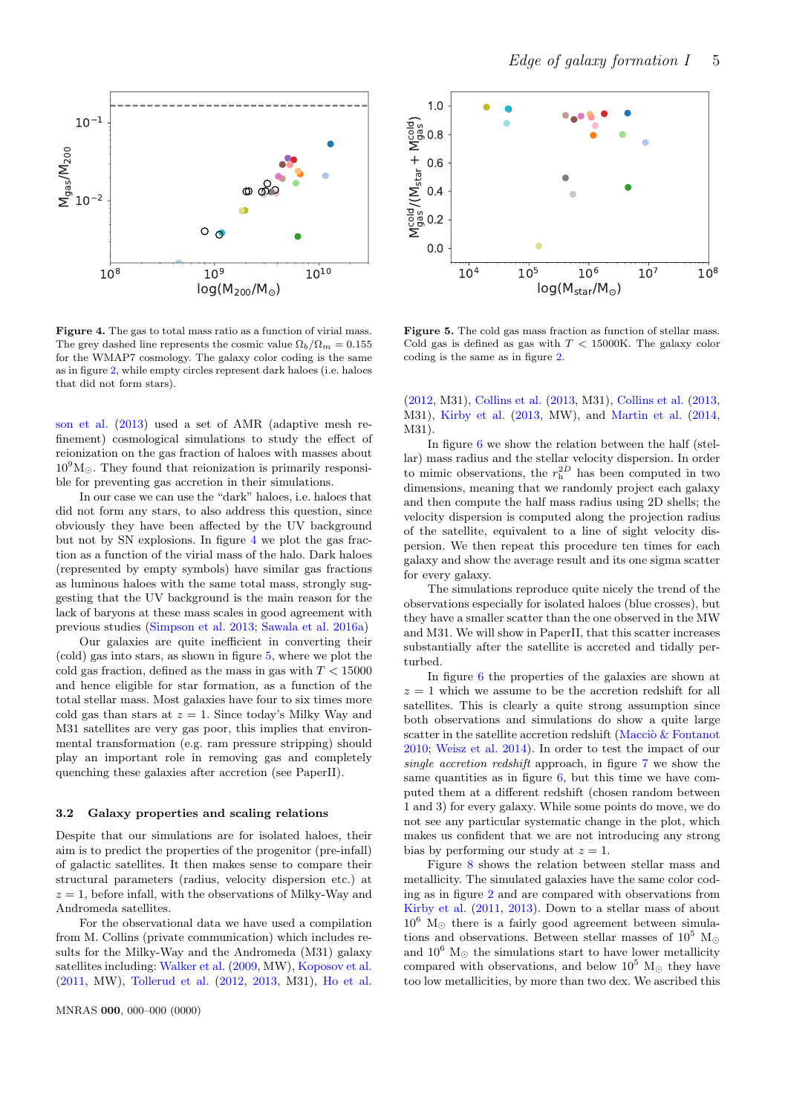

<span id="page-4-0"></span>Figure 4. The gas to total mass ratio as a function of virial mass. The grey dashed line represents the cosmic value  $\Omega_b/\Omega_m = 0.155$ for the WMAP7 cosmology. The galaxy color coding is the same as in figure [2,](#page-3-1) while empty circles represent dark haloes (i.e. haloes that did not form stars).

[son et al.](#page-10-22) [\(2013\)](#page-10-22) used a set of AMR (adaptive mesh refinement) cosmological simulations to study the effect of reionization on the gas fraction of haloes with masses about  $10^9$ M<sub> $\odot$ </sub>. They found that reionization is primarily responsible for preventing gas accretion in their simulations.

In our case we can use the "dark" haloes, i.e. haloes that did not form any stars, to also address this question, since obviously they have been affected by the UV background but not by SN explosions. In figure [4](#page-4-0) we plot the gas fraction as a function of the virial mass of the halo. Dark haloes (represented by empty symbols) have similar gas fractions as luminous haloes with the same total mass, strongly suggesting that the UV background is the main reason for the lack of baryons at these mass scales in good agreement with previous studies [\(Simpson et al.](#page-10-22) [2013;](#page-10-22) [Sawala et al.](#page-10-15) [2016a\)](#page-10-15)

Our galaxies are quite inefficient in converting their (cold) gas into stars, as shown in figure [5,](#page-4-1) where we plot the cold gas fraction, defined as the mass in gas with  $T < 15000$ and hence eligible for star formation, as a function of the total stellar mass. Most galaxies have four to six times more cold gas than stars at  $z = 1$ . Since today's Milky Way and M31 satellites are very gas poor, this implies that environmental transformation (e.g. ram pressure stripping) should play an important role in removing gas and completely quenching these galaxies after accretion (see PaperII).

#### 3.2 Galaxy properties and scaling relations

Despite that our simulations are for isolated haloes, their aim is to predict the properties of the progenitor (pre-infall) of galactic satellites. It then makes sense to compare their structural parameters (radius, velocity dispersion etc.) at  $z = 1$ , before infall, with the observations of Milky-Way and Andromeda satellites.

For the observational data we have used a compilation from M. Collins (private communication) which includes results for the Milky-Way and the Andromeda (M31) galaxy satellites including: [Walker et al.](#page-11-7) [\(2009,](#page-11-7) MW), [Koposov et al.](#page-10-48) [\(2011,](#page-10-48) MW), [Tollerud et al.](#page-10-49) [\(2012,](#page-10-49) [2013,](#page-11-8) M31), [Ho et al.](#page-10-50)



<span id="page-4-1"></span>Figure 5. The cold gas mass fraction as function of stellar mass. Cold gas is defined as gas with  $T < 15000$ K. The galaxy color coding is the same as in figure [2.](#page-3-1)

[\(2012,](#page-10-50) M31), [Collins et al.](#page-10-51) [\(2013,](#page-10-51) M31), [Collins et al.](#page-10-51) [\(2013,](#page-10-51) M31), [Kirby et al.](#page-10-52) [\(2013,](#page-10-52) MW), and [Martin et al.](#page-10-53) [\(2014,](#page-10-53) M31).

In figure [6](#page-5-0) we show the relation between the half (stellar) mass radius and the stellar velocity dispersion. In order to mimic observations, the  $r<sub>h</sub><sup>2D</sup>$  has been computed in two dimensions, meaning that we randomly project each galaxy and then compute the half mass radius using 2D shells; the velocity dispersion is computed along the projection radius of the satellite, equivalent to a line of sight velocity dispersion. We then repeat this procedure ten times for each galaxy and show the average result and its one sigma scatter for every galaxy.

The simulations reproduce quite nicely the trend of the observations especially for isolated haloes (blue crosses), but they have a smaller scatter than the one observed in the MW and M31. We will show in PaperII, that this scatter increases substantially after the satellite is accreted and tidally perturbed.

In figure [6](#page-5-0) the properties of the galaxies are shown at  $z = 1$  which we assume to be the accretion redshift for all satellites. This is clearly a quite strong assumption since both observations and simulations do show a quite large scatter in the satellite accretion redshift (Macci $\delta \&$  Fontanot [2010;](#page-10-32) [Weisz et al.](#page-11-9) [2014\)](#page-11-9). In order to test the impact of our single accretion redshift approach, in figure [7](#page-5-1) we show the same quantities as in figure  $6$ , but this time we have computed them at a different redshift (chosen random between 1 and 3) for every galaxy. While some points do move, we do not see any particular systematic change in the plot, which makes us confident that we are not introducing any strong bias by performing our study at  $z = 1$ .

Figure [8](#page-5-2) shows the relation between stellar mass and metallicity. The simulated galaxies have the same color coding as in figure [2](#page-3-1) and are compared with observations from [Kirby et al.](#page-10-54) [\(2011,](#page-10-54) [2013\)](#page-10-52). Down to a stellar mass of about  $10^6$  M<sub>o</sub> there is a fairly good agreement between simulations and observations. Between stellar masses of  $10^5$  M<sub> $\odot$ </sub> and  $10^6$  M<sub> $\odot$ </sub> the simulations start to have lower metallicity compared with observations, and below  $10^5$  M<sub> $\odot$ </sub> they have too low metallicities, by more than two dex. We ascribed this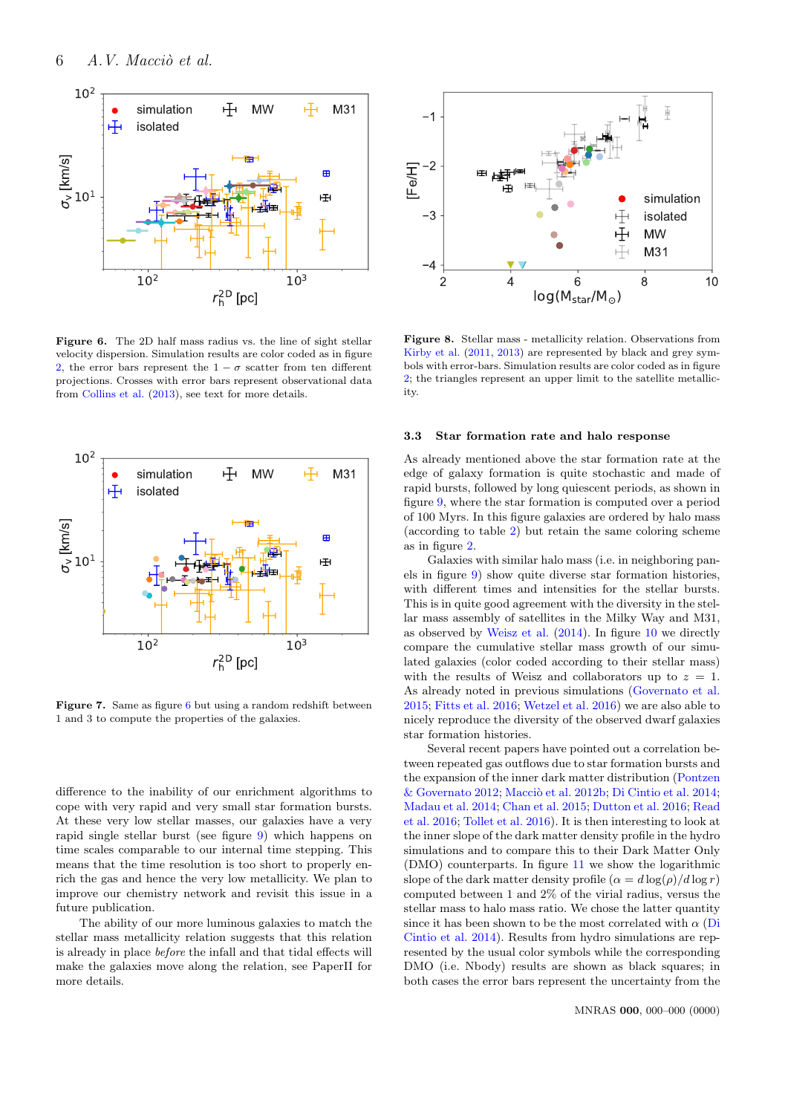

<span id="page-5-0"></span>Figure 6. The 2D half mass radius vs. the line of sight stellar velocity dispersion. Simulation results are color coded as in figure [2,](#page-3-1) the error bars represent the  $1 - \sigma$  scatter from ten different projections. Crosses with error bars represent observational data from [Collins et al.](#page-10-51) [\(2013\)](#page-10-51), see text for more details.



<span id="page-5-1"></span>Figure 7. Same as figure [6](#page-5-0) but using a random redshift between 1 and 3 to compute the properties of the galaxies.

difference to the inability of our enrichment algorithms to cope with very rapid and very small star formation bursts. At these very low stellar masses, our galaxies have a very rapid single stellar burst (see figure [9\)](#page-6-0) which happens on time scales comparable to our internal time stepping. This means that the time resolution is too short to properly enrich the gas and hence the very low metallicity. We plan to improve our chemistry network and revisit this issue in a future publication.

The ability of our more luminous galaxies to match the stellar mass metallicity relation suggests that this relation is already in place before the infall and that tidal effects will make the galaxies move along the relation, see PaperII for more details.



<span id="page-5-2"></span>Figure 8. Stellar mass - metallicity relation. Observations from [Kirby et al.](#page-10-54) [\(2011,](#page-10-54) [2013\)](#page-10-52) are represented by black and grey symbols with error-bars. Simulation results are color coded as in figure [2;](#page-3-1) the triangles represent an upper limit to the satellite metallicity.

#### 3.3 Star formation rate and halo response

As already mentioned above the star formation rate at the edge of galaxy formation is quite stochastic and made of rapid bursts, followed by long quiescent periods, as shown in figure [9,](#page-6-0) where the star formation is computed over a period of 100 Myrs. In this figure galaxies are ordered by halo mass (according to table [2\)](#page-2-0) but retain the same coloring scheme as in figure [2.](#page-3-1)

Galaxies with similar halo mass (i.e. in neighboring panels in figure [9\)](#page-6-0) show quite diverse star formation histories, with different times and intensities for the stellar bursts. This is in quite good agreement with the diversity in the stellar mass assembly of satellites in the Milky Way and M31, as observed by [Weisz et al.](#page-11-9) [\(2014\)](#page-11-9). In figure [10](#page-6-1) we directly compare the cumulative stellar mass growth of our simulated galaxies (color coded according to their stellar mass) with the results of Weisz and collaborators up to  $z = 1$ . As already noted in previous simulations [\(Governato et al.](#page-10-55) [2015;](#page-10-55) [Fitts et al.](#page-10-24) [2016;](#page-10-24) [Wetzel et al.](#page-11-3) [2016\)](#page-11-3) we are also able to nicely reproduce the diversity of the observed dwarf galaxies star formation histories.

Several recent papers have pointed out a correlation between repeated gas outflows due to star formation bursts and the expansion of the inner dark matter distribution [\(Pontzen](#page-10-56)  $\&$  Governato [2012;](#page-10-56) Macciò et al. [2012b;](#page-10-16) [Di Cintio et al.](#page-10-57) [2014;](#page-10-57) [Madau et al.](#page-10-58) [2014;](#page-10-58) [Chan et al.](#page-10-25) [2015;](#page-10-25) [Dutton et al.](#page-10-59) [2016;](#page-10-59) [Read](#page-10-60) [et al.](#page-10-60) [2016;](#page-10-60) [Tollet et al.](#page-11-5) [2016\)](#page-11-5). It is then interesting to look at the inner slope of the dark matter density profile in the hydro simulations and to compare this to their Dark Matter Only (DMO) counterparts. In figure [11](#page-7-1) we show the logarithmic slope of the dark matter density profile  $(\alpha = d \log(\rho)/d \log r)$ computed between 1 and 2% of the virial radius, versus the stellar mass to halo mass ratio. We chose the latter quantity since it has been shown to be the most correlated with  $\alpha$  [\(Di](#page-10-57) [Cintio et al.](#page-10-57) [2014\)](#page-10-57). Results from hydro simulations are represented by the usual color symbols while the corresponding DMO (i.e. Nbody) results are shown as black squares; in both cases the error bars represent the uncertainty from the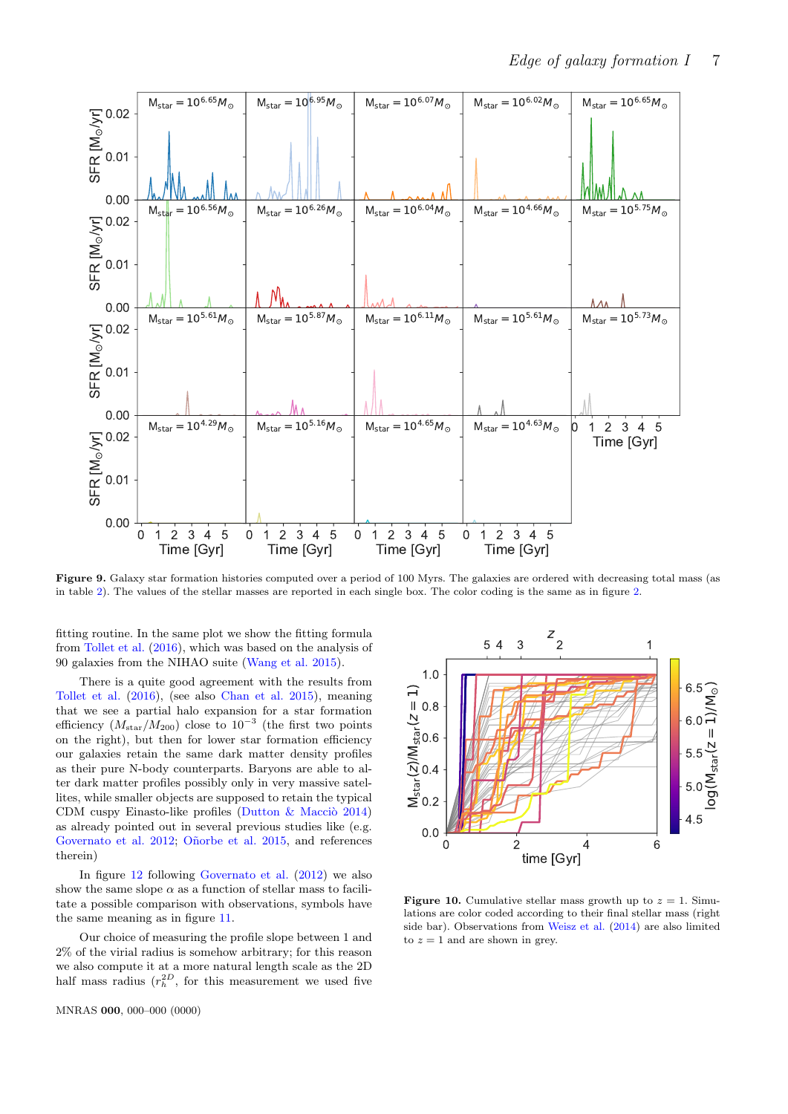

Figure 9. Galaxy star formation histories computed over a period of 100 Myrs. The galaxies are ordered with decreasing total mass (as in table [2\)](#page-2-0). The values of the stellar masses are reported in each single box. The color coding is the same as in figure [2.](#page-3-1)

fitting routine. In the same plot we show the fitting formula from [Tollet et al.](#page-11-5) [\(2016\)](#page-11-5), which was based on the analysis of 90 galaxies from the NIHAO suite [\(Wang et al.](#page-11-2) [2015\)](#page-11-2).

There is a quite good agreement with the results from [Tollet et al.](#page-11-5) [\(2016\)](#page-11-5), (see also [Chan et al.](#page-10-25) [2015\)](#page-10-25), meaning that we see a partial halo expansion for a star formation efficiency  $(M_{\text{star}}/M_{200})$  close to  $10^{-3}$  (the first two points on the right), but then for lower star formation efficiency our galaxies retain the same dark matter density profiles as their pure N-body counterparts. Baryons are able to alter dark matter profiles possibly only in very massive satellites, while smaller objects are supposed to retain the typical CDM cuspy Einasto-like profiles (Dutton  $\&$  Maccio [2014\)](#page-10-61) as already pointed out in several previous studies like (e.g. [Governato et al.](#page-10-21) [2012;](#page-10-21) Oñorbe et al. [2015,](#page-10-23) and references therein)

In figure [12](#page-7-2) following [Governato et al.](#page-10-21) [\(2012\)](#page-10-21) we also show the same slope  $\alpha$  as a function of stellar mass to facilitate a possible comparison with observations, symbols have the same meaning as in figure [11.](#page-7-1)

Our choice of measuring the profile slope between 1 and 2% of the virial radius is somehow arbitrary; for this reason we also compute it at a more natural length scale as the 2D half mass radius  $(r_h^{2D},$  for this measurement we used five

MNRAS 000, 000–000 (0000)

<span id="page-6-0"></span>

<span id="page-6-1"></span>**Figure 10.** Cumulative stellar mass growth up to  $z = 1$ . Simulations are color coded according to their final stellar mass (right side bar). Observations from [Weisz et al.](#page-11-9) [\(2014\)](#page-11-9) are also limited to  $z = 1$  and are shown in grey.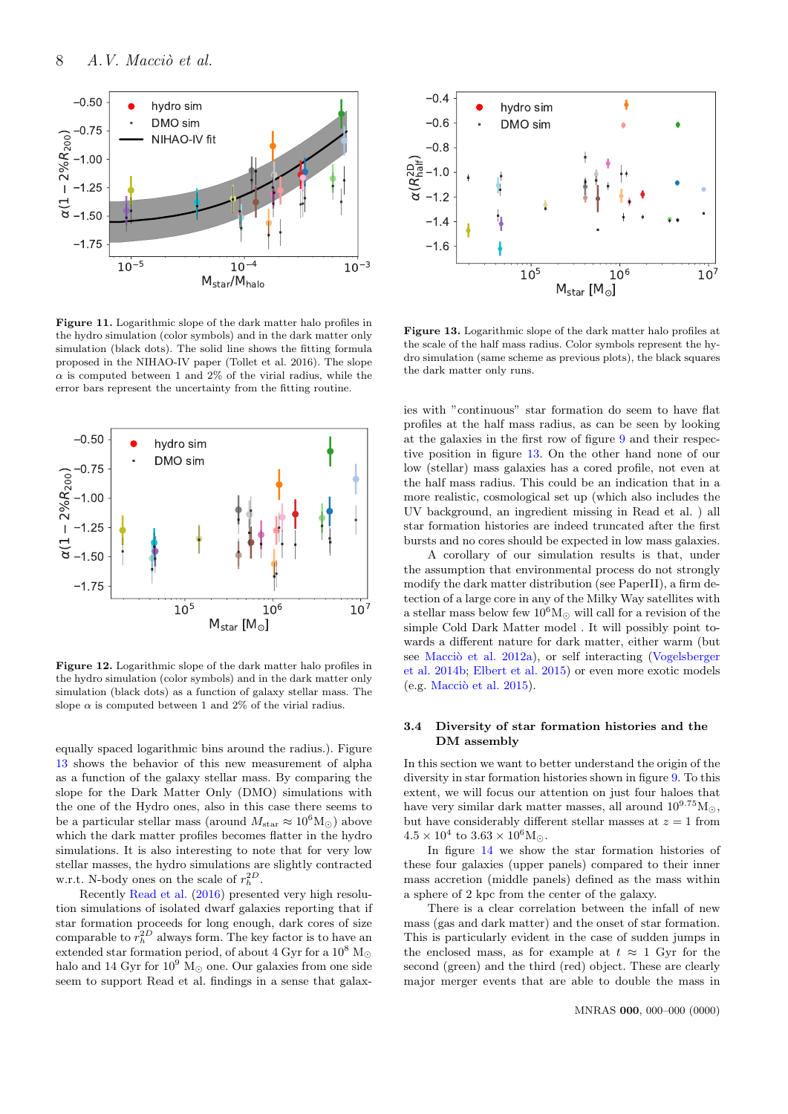

<span id="page-7-1"></span>Figure 11. Logarithmic slope of the dark matter halo profiles in the hydro simulation (color symbols) and in the dark matter only simulation (black dots). The solid line shows the fitting formula proposed in the NIHAO-IV paper (Tollet et al. 2016). The slope  $\alpha$  is computed between 1 and 2% of the virial radius, while the error bars represent the uncertainty from the fitting routine.



<span id="page-7-2"></span>Figure 12. Logarithmic slope of the dark matter halo profiles in the hydro simulation (color symbols) and in the dark matter only simulation (black dots) as a function of galaxy stellar mass. The slope  $\alpha$  is computed between 1 and 2% of the virial radius.

equally spaced logarithmic bins around the radius.). Figure [13](#page-7-3) shows the behavior of this new measurement of alpha as a function of the galaxy stellar mass. By comparing the slope for the Dark Matter Only (DMO) simulations with the one of the Hydro ones, also in this case there seems to be a particular stellar mass (around  $M_{\rm star} \approx 10^6 \text{M}_{\odot}$ ) above which the dark matter profiles becomes flatter in the hydro simulations. It is also interesting to note that for very low stellar masses, the hydro simulations are slightly contracted w.r.t. N-body ones on the scale of  $r_h^{2D}$ .

Recently [Read et al.](#page-10-60) [\(2016\)](#page-10-60) presented very high resolution simulations of isolated dwarf galaxies reporting that if star formation proceeds for long enough, dark cores of size comparable to  $r_h^{2D}$  always form. The key factor is to have an extended star formation period, of about 4 Gyr for a  $10^8 \ \mathrm{M}_{\odot}$ halo and 14 Gyr for  $10^9$  M<sub> $\odot$ </sub> one. Our galaxies from one side seem to support Read et al. findings in a sense that galax-



<span id="page-7-3"></span>Figure 13. Logarithmic slope of the dark matter halo profiles at the scale of the half mass radius. Color symbols represent the hydro simulation (same scheme as previous plots), the black squares the dark matter only runs.

ies with "continuous" star formation do seem to have flat profiles at the half mass radius, as can be seen by looking at the galaxies in the first row of figure [9](#page-6-0) and their respective position in figure [13.](#page-7-3) On the other hand none of our low (stellar) mass galaxies has a cored profile, not even at the half mass radius. This could be an indication that in a more realistic, cosmological set up (which also includes the UV background, an ingredient missing in Read et al. ) all star formation histories are indeed truncated after the first bursts and no cores should be expected in low mass galaxies.

A corollary of our simulation results is that, under the assumption that environmental process do not strongly modify the dark matter distribution (see PaperII), a firm detection of a large core in any of the Milky Way satellites with a stellar mass below few  $10^6 M_{\odot}$  will call for a revision of the simple Cold Dark Matter model . It will possibly point towards a different nature for dark matter, either warm (but see Macciò et al. [2012a\)](#page-10-62), or self interacting [\(Vogelsberger](#page-11-10) [et al.](#page-11-10) [2014b;](#page-11-10) [Elbert et al.](#page-10-63) [2015\)](#page-10-63) or even more exotic models  $(e.g. Macciò et al. 2015).$  $(e.g. Macciò et al. 2015).$  $(e.g. Macciò et al. 2015).$ 

# <span id="page-7-0"></span>3.4 Diversity of star formation histories and the DM assembly

In this section we want to better understand the origin of the diversity in star formation histories shown in figure [9.](#page-6-0) To this extent, we will focus our attention on just four haloes that have very similar dark matter masses, all around  $10^{9.75}$ M $\odot$ . but have considerably different stellar masses at  $z = 1$  from  $4.5 \times 10^4$  to  $3.63 \times 10^6$ M<sub>o</sub>.

In figure [14](#page-9-3) we show the star formation histories of these four galaxies (upper panels) compared to their inner mass accretion (middle panels) defined as the mass within a sphere of 2 kpc from the center of the galaxy.

There is a clear correlation between the infall of new mass (gas and dark matter) and the onset of star formation. This is particularly evident in the case of sudden jumps in the enclosed mass, as for example at  $t \approx 1$  Gyr for the second (green) and the third (red) object. These are clearly major merger events that are able to double the mass in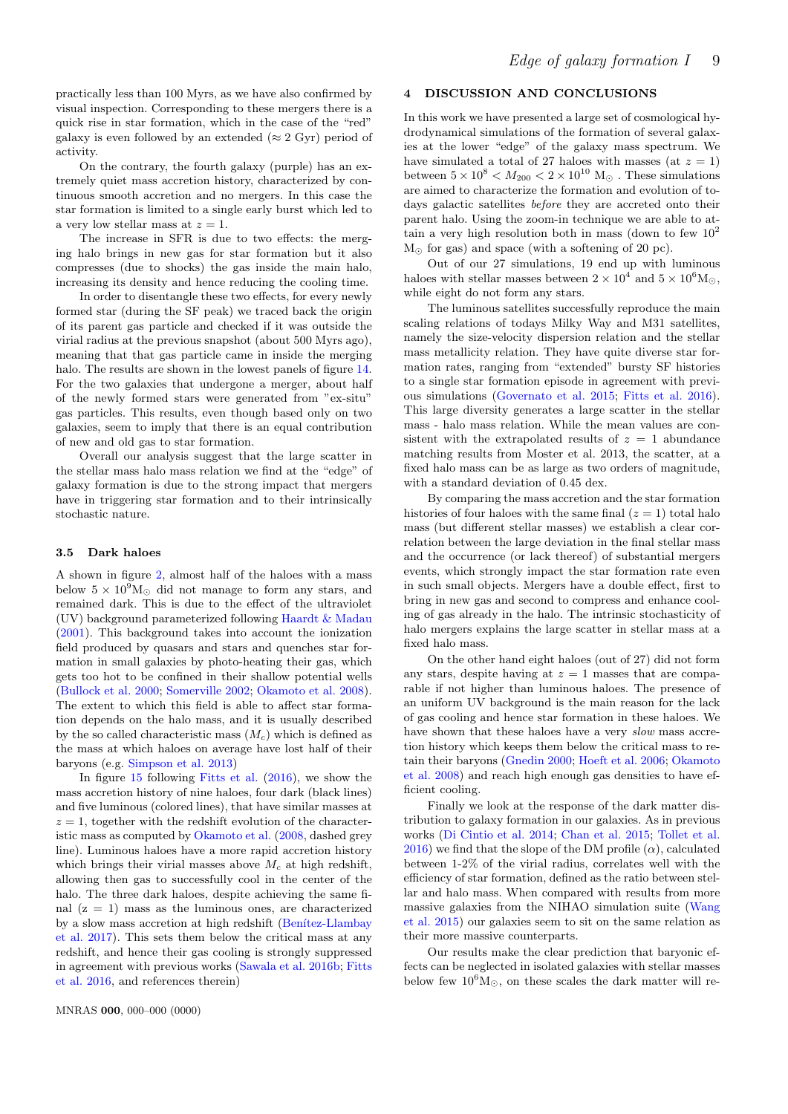practically less than 100 Myrs, as we have also confirmed by visual inspection. Corresponding to these mergers there is a quick rise in star formation, which in the case of the "red" galaxy is even followed by an extended ( $\approx 2 \text{ Gyr}$ ) period of activity.

On the contrary, the fourth galaxy (purple) has an extremely quiet mass accretion history, characterized by continuous smooth accretion and no mergers. In this case the star formation is limited to a single early burst which led to a very low stellar mass at  $z = 1$ .

The increase in SFR is due to two effects: the merging halo brings in new gas for star formation but it also compresses (due to shocks) the gas inside the main halo, increasing its density and hence reducing the cooling time.

In order to disentangle these two effects, for every newly formed star (during the SF peak) we traced back the origin of its parent gas particle and checked if it was outside the virial radius at the previous snapshot (about 500 Myrs ago), meaning that that gas particle came in inside the merging halo. The results are shown in the lowest panels of figure [14.](#page-9-3) For the two galaxies that undergone a merger, about half of the newly formed stars were generated from "ex-situ" gas particles. This results, even though based only on two galaxies, seem to imply that there is an equal contribution of new and old gas to star formation.

Overall our analysis suggest that the large scatter in the stellar mass halo mass relation we find at the "edge" of galaxy formation is due to the strong impact that mergers have in triggering star formation and to their intrinsically stochastic nature.

## 3.5 Dark haloes

A shown in figure [2,](#page-3-1) almost half of the haloes with a mass below  $5 \times 10^9$ M<sub> $\odot$ </sub> did not manage to form any stars, and remained dark. This is due to the effect of the ultraviolet (UV) background parameterized following [Haardt & Madau](#page-10-65) [\(2001\)](#page-10-65). This background takes into account the ionization field produced by quasars and stars and quenches star formation in small galaxies by photo-heating their gas, which gets too hot to be confined in their shallow potential wells [\(Bullock et al.](#page-10-66) [2000;](#page-10-66) [Somerville](#page-10-67) [2002;](#page-10-67) [Okamoto et al.](#page-10-45) [2008\)](#page-10-45). The extent to which this field is able to affect star formation depends on the halo mass, and it is usually described by the so called characteristic mass  $(M_c)$  which is defined as the mass at which haloes on average have lost half of their baryons (e.g. [Simpson et al.](#page-10-22) [2013\)](#page-10-22)

In figure [15](#page-10-68) following [Fitts et al.](#page-10-24) [\(2016\)](#page-10-24), we show the mass accretion history of nine haloes, four dark (black lines) and five luminous (colored lines), that have similar masses at  $z = 1$ , together with the redshift evolution of the characteristic mass as computed by [Okamoto et al.](#page-10-45) [\(2008,](#page-10-45) dashed grey line). Luminous haloes have a more rapid accretion history which brings their virial masses above  $M_c$  at high redshift, allowing then gas to successfully cool in the center of the halo. The three dark haloes, despite achieving the same final  $(z = 1)$  mass as the luminous ones, are characterized by a slow mass accretion at high redshift (Benítez-Llambay [et al.](#page-9-4) [2017\)](#page-9-4). This sets them below the critical mass at any redshift, and hence their gas cooling is strongly suppressed in agreement with previous works [\(Sawala et al.](#page-10-14) [2016b;](#page-10-14) [Fitts](#page-10-24) [et al.](#page-10-24) [2016,](#page-10-24) and references therein)

# 4 DISCUSSION AND CONCLUSIONS

In this work we have presented a large set of cosmological hydrodynamical simulations of the formation of several galaxies at the lower "edge" of the galaxy mass spectrum. We have simulated a total of 27 haloes with masses (at  $z = 1$ ) between  $5\times 10^8 < M_{200} < 2\times 10^{10}~{\rm M}_\odot$  . These simulations are aimed to characterize the formation and evolution of todays galactic satellites before they are accreted onto their parent halo. Using the zoom-in technique we are able to attain a very high resolution both in mass (down to few  $10^2$ )  $M_{\odot}$  for gas) and space (with a softening of 20 pc).

Out of our 27 simulations, 19 end up with luminous haloes with stellar masses between  $2 \times 10^4$  and  $5 \times 10^6$ M<sub>O</sub>, while eight do not form any stars.

The luminous satellites successfully reproduce the main scaling relations of todays Milky Way and M31 satellites, namely the size-velocity dispersion relation and the stellar mass metallicity relation. They have quite diverse star formation rates, ranging from "extended" bursty SF histories to a single star formation episode in agreement with previous simulations [\(Governato et al.](#page-10-55) [2015;](#page-10-55) [Fitts et al.](#page-10-24) [2016\)](#page-10-24). This large diversity generates a large scatter in the stellar mass - halo mass relation. While the mean values are consistent with the extrapolated results of  $z = 1$  abundance matching results from Moster et al. 2013, the scatter, at a fixed halo mass can be as large as two orders of magnitude, with a standard deviation of 0.45 dex.

By comparing the mass accretion and the star formation histories of four haloes with the same final  $(z = 1)$  total halo mass (but different stellar masses) we establish a clear correlation between the large deviation in the final stellar mass and the occurrence (or lack thereof) of substantial mergers events, which strongly impact the star formation rate even in such small objects. Mergers have a double effect, first to bring in new gas and second to compress and enhance cooling of gas already in the halo. The intrinsic stochasticity of halo mergers explains the large scatter in stellar mass at a fixed halo mass.

On the other hand eight haloes (out of 27) did not form any stars, despite having at  $z = 1$  masses that are comparable if not higher than luminous haloes. The presence of an uniform UV background is the main reason for the lack of gas cooling and hence star formation in these haloes. We have shown that these haloes have a very *slow* mass accretion history which keeps them below the critical mass to retain their baryons [\(Gnedin](#page-10-43) [2000;](#page-10-43) [Hoeft et al.](#page-10-44) [2006;](#page-10-44) [Okamoto](#page-10-45) [et al.](#page-10-45) [2008\)](#page-10-45) and reach high enough gas densities to have efficient cooling.

Finally we look at the response of the dark matter distribution to galaxy formation in our galaxies. As in previous works [\(Di Cintio et al.](#page-10-57) [2014;](#page-10-57) [Chan et al.](#page-10-25) [2015;](#page-10-25) [Tollet et al.](#page-11-5) [2016\)](#page-11-5) we find that the slope of the DM profile  $(\alpha)$ , calculated between 1-2% of the virial radius, correlates well with the efficiency of star formation, defined as the ratio between stellar and halo mass. When compared with results from more massive galaxies from the NIHAO simulation suite [\(Wang](#page-11-2) [et al.](#page-11-2) [2015\)](#page-11-2) our galaxies seem to sit on the same relation as their more massive counterparts.

Our results make the clear prediction that baryonic effects can be neglected in isolated galaxies with stellar masses below few  $10^6 M_{\odot}$ , on these scales the dark matter will re-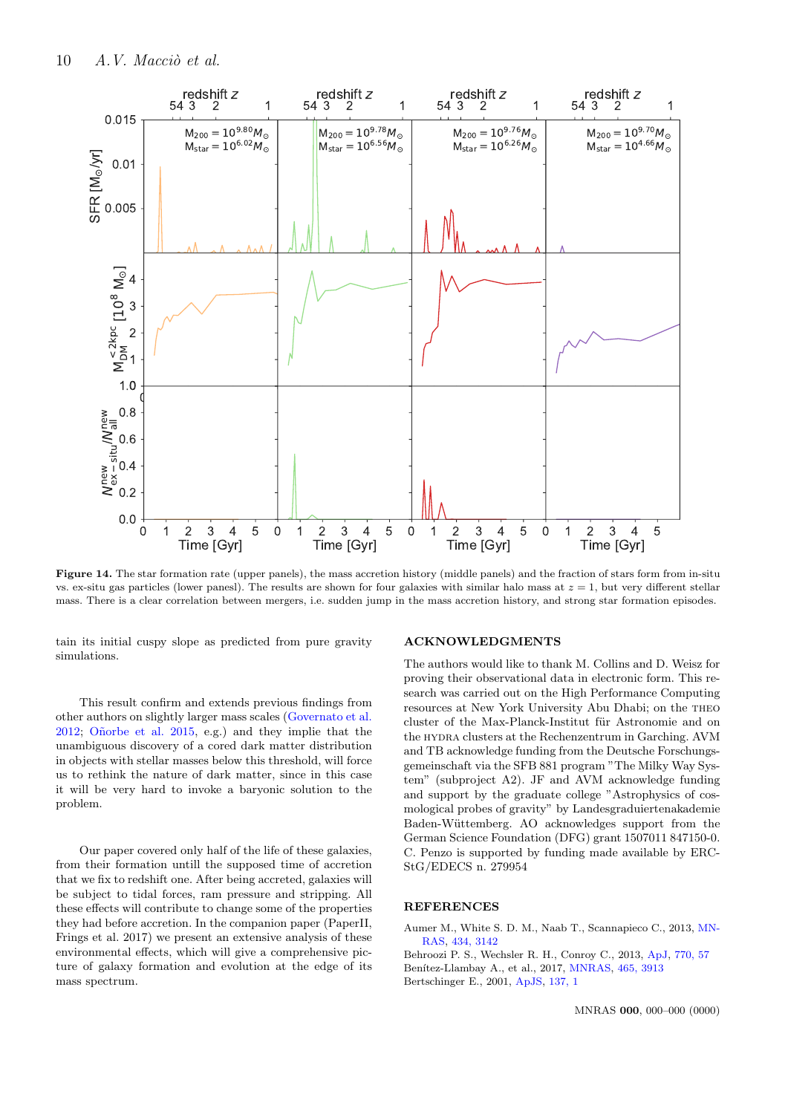

Figure 14. The star formation rate (upper panels), the mass accretion history (middle panels) and the fraction of stars form from in-situ vs. ex-situ gas particles (lower panesl). The results are shown for four galaxies with similar halo mass at  $z = 1$ , but very different stellar mass. There is a clear correlation between mergers, i.e. sudden jump in the mass accretion history, and strong star formation episodes.

tain its initial cuspy slope as predicted from pure gravity simulations.

This result confirm and extends previous findings from other authors on slightly larger mass scales [\(Governato et al.](#page-10-21)  $2012$ ; Oñorbe et al.  $2015$ , e.g.) and they implie that the unambiguous discovery of a cored dark matter distribution in objects with stellar masses below this threshold, will force us to rethink the nature of dark matter, since in this case it will be very hard to invoke a baryonic solution to the problem.

Our paper covered only half of the life of these galaxies, from their formation untill the supposed time of accretion that we fix to redshift one. After being accreted, galaxies will be subject to tidal forces, ram pressure and stripping. All these effects will contribute to change some of the properties they had before accretion. In the companion paper (PaperII, Frings et al. 2017) we present an extensive analysis of these environmental effects, which will give a comprehensive picture of galaxy formation and evolution at the edge of its mass spectrum.

## <span id="page-9-3"></span>ACKNOWLEDGMENTS

The authors would like to thank M. Collins and D. Weisz for proving their observational data in electronic form. This research was carried out on the High Performance Computing resources at New York University Abu Dhabi; on the theo cluster of the Max-Planck-Institut für Astronomie and on the hydra clusters at the Rechenzentrum in Garching. AVM and TB acknowledge funding from the Deutsche Forschungsgemeinschaft via the SFB 881 program "The Milky Way System" (subproject A2). JF and AVM acknowledge funding and support by the graduate college "Astrophysics of cosmological probes of gravity" by Landesgraduiertenakademie Baden-Wüttemberg. AO acknowledges support from the German Science Foundation (DFG) grant 1507011 847150-0. C. Penzo is supported by funding made available by ERC-StG/EDECS n. 279954

## REFERENCES

<span id="page-9-0"></span>Aumer M., White S. D. M., Naab T., Scannapieco C., 2013, [MN-](http://dx.doi.org/10.1093/mnras/stt1230)[RAS,](http://dx.doi.org/10.1093/mnras/stt1230) [434, 3142](http://esoads.eso.org/abs/2013MNRAS.434.3142A)

<span id="page-9-4"></span><span id="page-9-2"></span><span id="page-9-1"></span>Behroozi P. S., Wechsler R. H., Conroy C., 2013, [ApJ,](http://dx.doi.org/10.1088/0004-637X/770/1/57) [770, 57](http://adsabs.harvard.edu/abs/2013ApJ...770...57B) Benítez-Llambay A., et al., 2017, [MNRAS,](http://dx.doi.org/10.1093/mnras/stw2982) [465, 3913](http://esoads.eso.org/abs/2017MNRAS.465.3913B) Bertschinger E., 2001, [ApJS,](http://dx.doi.org/10.1086/322526) [137, 1](http://adsabs.harvard.edu/abs/2001ApJS..137....1B)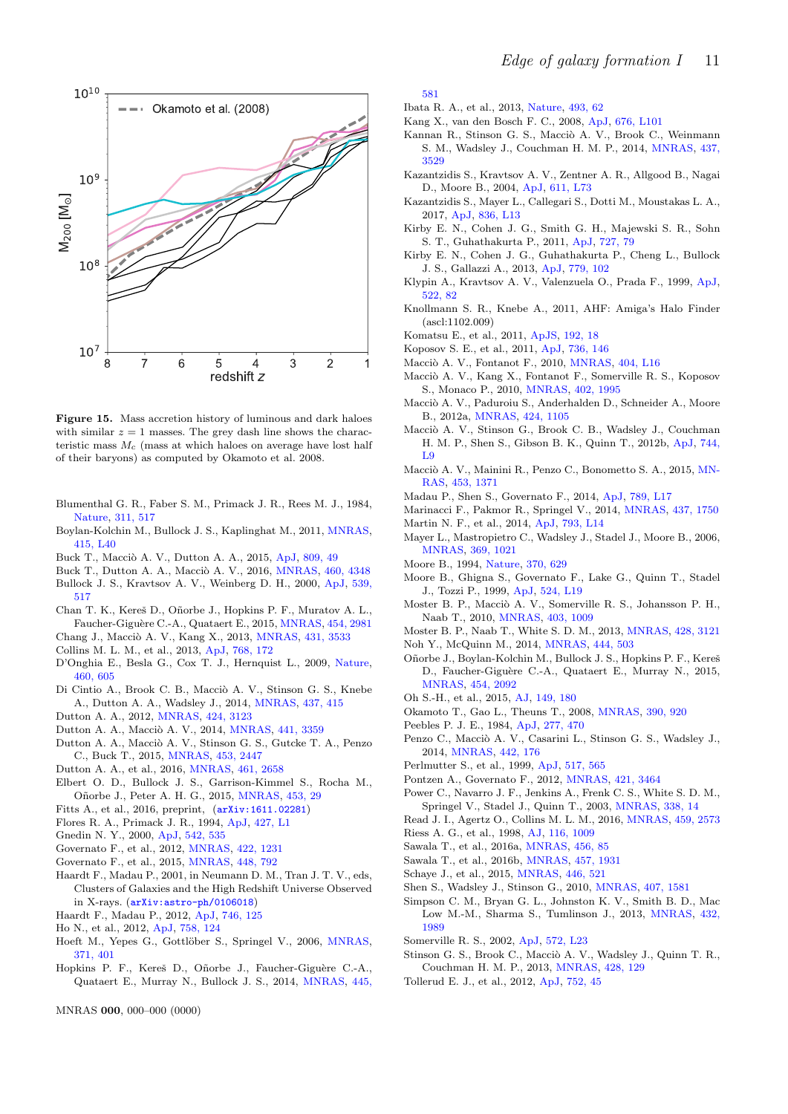

<span id="page-10-68"></span>Figure 15. Mass accretion history of luminous and dark haloes with similar  $z = 1$  masses. The grey dash line shows the characteristic mass  $M_c$  (mass at which haloes on average have lost half of their baryons) as computed by Okamoto et al. 2008.

- <span id="page-10-0"></span>Blumenthal G. R., Faber S. M., Primack J. R., Rees M. J., 1984, [Nature,](http://dx.doi.org/10.1038/311517a0) [311, 517](http://esoads.eso.org/abs/1984Natur.311..517B)
- <span id="page-10-9"></span>Boylan-Kolchin M., Bullock J. S., Kaplinghat M., 2011, [MNRAS,](http://dx.doi.org/10.1111/j.1745-3933.2011.01074.x) [415, L40](http://esoads.eso.org/abs/2011MNRAS.415L..40B)
- <span id="page-10-11"></span>Buck T., Macciò A. V., Dutton A. A., 2015, [ApJ,](http://dx.doi.org/10.1088/0004-637X/809/1/49) [809, 49](http://adsabs.harvard.edu/abs/2015ApJ...809...49B)
- <span id="page-10-12"></span>Buck T., Dutton A. A., Macciò A. V., 2016, [MNRAS,](http://dx.doi.org/10.1093/mnras/stw1232) [460, 4348](http://adsabs.harvard.edu/abs/2016MNRAS.460.4348B)
- <span id="page-10-66"></span>Bullock J. S., Kravtsov A. V., Weinberg D. H., 2000, [ApJ,](http://dx.doi.org/10.1086/309279) [539,](http://adsabs.harvard.edu/abs/2000ApJ...539..517B) [517](http://adsabs.harvard.edu/abs/2000ApJ...539..517B)
- <span id="page-10-25"></span>Chan T. K., Kereš D., Oñorbe J., Hopkins P. F., Muratov A. L., Faucher-Giguère C.-A., Quataert E., 2015, [MNRAS,](http://dx.doi.org/10.1093/mnras/stv2165) [454, 2981](http://esoads.eso.org/abs/2015MNRAS.454.2981C)
- <span id="page-10-30"></span>Chang J., Macciò A. V., Kang X., 2013, [MNRAS,](http://dx.doi.org/10.1093/mnras/stt434) [431, 3533](http://esoads.eso.org/abs/2013MNRAS.431.3533C)
- <span id="page-10-51"></span>Collins M. L. M., et al., 2013, [ApJ,](http://dx.doi.org/10.1088/0004-637X/768/2/172) [768, 172](http://adsabs.harvard.edu/abs/2013ApJ...768..172C)
- <span id="page-10-29"></span>D'Onghia E., Besla G., Cox T. J., Hernquist L., 2009, [Nature,](http://dx.doi.org/10.1038/nature08215) [460, 605](http://esoads.eso.org/abs/2009Natur.460..605D)
- <span id="page-10-57"></span>Di Cintio A., Brook C. B., Macciò A. V., Stinson G. S., Knebe A., Dutton A. A., Wadsley J., 2014, [MNRAS,](http://dx.doi.org/10.1093/mnras/stt1891) [437, 415](http://adsabs.harvard.edu/abs/2014MNRAS.437..415D)
- <span id="page-10-47"></span>Dutton A. A., 2012, [MNRAS,](http://dx.doi.org/10.1111/j.1365-2966.2012.21469.x) [424, 3123](http://adsabs.harvard.edu/abs/2012MNRAS.424.3123D)
- <span id="page-10-61"></span>Dutton A. A., Macciò A. V., 2014, *MNRAS*, [441, 3359](http://adsabs.harvard.edu/abs/2014MNRAS.441.3359D)
- <span id="page-10-20"></span>Dutton A. A., Macciò A. V., Stinson G. S., Gutcke T. A., Penzo C., Buck T., 2015, [MNRAS,](http://dx.doi.org/10.1093/mnras/stv1755) [453, 2447](http://adsabs.harvard.edu/abs/2015MNRAS.453.2447D)
- <span id="page-10-59"></span>Dutton A. A., et al., 2016, [MNRAS,](http://dx.doi.org/10.1093/mnras/stw1537) [461, 2658](http://adsabs.harvard.edu/abs/2016MNRAS.461.2658D)
- <span id="page-10-63"></span>Elbert O. D., Bullock J. S., Garrison-Kimmel S., Rocha M., Oñorbe J., Peter A. H. G., 2015, [MNRAS,](http://dx.doi.org/10.1093/mnras/stv1470) [453, 29](http://adsabs.harvard.edu/abs/2015MNRAS.453...29E)
- <span id="page-10-24"></span>Fitts A., et al., 2016, preprint, ([arXiv:1611.02281](http://arxiv.org/abs/1611.02281))
- <span id="page-10-6"></span>Flores R. A., Primack J. R., 1994, [ApJ,](http://dx.doi.org/10.1086/187350) [427, L1](http://esoads.eso.org/abs/1994ApJ...427L...1F)
- <span id="page-10-43"></span>Gnedin N. Y., 2000, [ApJ,](http://dx.doi.org/10.1086/317042) [542, 535](http://adsabs.harvard.edu/abs/2000ApJ...542..535G)
- <span id="page-10-21"></span>Governato F., et al., 2012, [MNRAS,](http://dx.doi.org/10.1111/j.1365-2966.2012.20696.x) [422, 1231](http://esoads.eso.org/abs/2012MNRAS.422.1231G)
- <span id="page-10-55"></span>Governato F., et al., 2015, [MNRAS,](http://dx.doi.org/10.1093/mnras/stu2720) [448, 792](http://adsabs.harvard.edu/abs/2015MNRAS.448..792G)
- <span id="page-10-65"></span>Haardt F., Madau P., 2001, in Neumann D. M., Tran J. T. V., eds, Clusters of Galaxies and the High Redshift Universe Observed in X-rays. ([arXiv:astro-ph/0106018](http://arxiv.org/abs/astro-ph/0106018))
- <span id="page-10-39"></span>Haardt F., Madau P., 2012, [ApJ,](http://dx.doi.org/10.1088/0004-637X/746/2/125) [746, 125](http://esoads.eso.org/abs/2012ApJ...746..125H)
- <span id="page-10-50"></span>Ho N., et al., 2012, [ApJ,](http://dx.doi.org/10.1088/0004-637X/758/2/124) [758, 124](http://adsabs.harvard.edu/abs/2012ApJ...758..124H)
- <span id="page-10-44"></span>Hoeft M., Yepes G., Gottlöber S., Springel V., 2006, [MNRAS,](http://dx.doi.org/10.1111/j.1365-2966.2006.10678.x) [371, 401](http://adsabs.harvard.edu/abs/2006MNRAS.371..401H)
- <span id="page-10-18"></span>Hopkins P. F., Kereš D., Oñorbe J., Faucher-Giguère C.-A., Quataert E., Murray N., Bullock J. S., 2014, [MNRAS,](http://dx.doi.org/10.1093/mnras/stu1738) [445,](http://adsabs.harvard.edu/abs/2014MNRAS.445..581H)

MNRAS 000, 000–000 (0000)

[581](http://adsabs.harvard.edu/abs/2014MNRAS.445..581H)

- <span id="page-10-10"></span>Ibata R. A., et al., 2013, [Nature,](http://dx.doi.org/10.1038/nature11717) [493, 62](http://adsabs.harvard.edu/abs/2013Natur.493...62I)
- <span id="page-10-28"></span>Kang X., van den Bosch F. C., 2008, [ApJ,](http://dx.doi.org/10.1086/587620) [676, L101](http://esoads.eso.org/abs/2008ApJ...676L.101K)
- <span id="page-10-38"></span>Kannan R., Stinson G. S., Macciò A. V., Brook C., Weinmann S. M., Wadsley J., Couchman H. M. P., 2014, [MNRAS,](http://dx.doi.org/10.1093/mnras/stt2144) [437,](http://adsabs.harvard.edu/abs/2014MNRAS.437.3529K) [3529](http://adsabs.harvard.edu/abs/2014MNRAS.437.3529K)
- <span id="page-10-26"></span>Kazantzidis S., Kravtsov A. V., Zentner A. R., Allgood B., Nagai D., Moore B., 2004, [ApJ,](http://dx.doi.org/10.1086/423992) [611, L73](http://adsabs.harvard.edu/abs/2004ApJ...611L..73K)
- <span id="page-10-31"></span>Kazantzidis S., Mayer L., Callegari S., Dotti M., Moustakas L. A., 2017, [ApJ,](http://dx.doi.org/10.3847/2041-8213/aa5b8f) [836, L13](http://esoads.eso.org/abs/2017ApJ...836L..13K)
- <span id="page-10-54"></span>Kirby E. N., Cohen J. G., Smith G. H., Majewski S. R., Sohn S. T., Guhathakurta P., 2011, [ApJ,](http://dx.doi.org/10.1088/0004-637X/727/2/79) [727, 79](http://adsabs.harvard.edu/abs/2011ApJ...727...79K)
- <span id="page-10-52"></span>Kirby E. N., Cohen J. G., Guhathakurta P., Cheng L., Bullock J. S., Gallazzi A., 2013, [ApJ,](http://dx.doi.org/10.1088/0004-637X/779/2/102) [779, 102](http://adsabs.harvard.edu/abs/2013ApJ...779..102K)
- <span id="page-10-4"></span>Klypin A., Kravtsov A. V., Valenzuela O., Prada F., 1999, [ApJ,](http://dx.doi.org/10.1086/307643) [522, 82](http://adsabs.harvard.edu/abs/1999ApJ...522...82K)
- <span id="page-10-41"></span>Knollmann S. R., Knebe A., 2011, AHF: Amiga's Halo Finder (ascl:1102.009)
- <span id="page-10-33"></span>Komatsu E., et al., 2011, [ApJS,](http://dx.doi.org/10.1088/0067-0049/192/2/18) [192, 18](http://adsabs.harvard.edu/abs/2011ApJS..192...18K)
- <span id="page-10-48"></span>Koposov S. E., et al., 2011, [ApJ,](http://dx.doi.org/10.1088/0004-637X/736/2/146) [736, 146](http://adsabs.harvard.edu/abs/2011ApJ...736..146K)
- <span id="page-10-32"></span>Macciò A. V., Fontanot F., 2010, *MNRAS*, [404, L16](http://esoads.eso.org/abs/2010MNRAS.404L..16M)
- <span id="page-10-42"></span>Macciò A. V., Kang X., Fontanot F., Somerville R. S., Koposov S., Monaco P., 2010, [MNRAS,](http://dx.doi.org/10.1111/j.1365-2966.2009.16031.x) [402, 1995](http://adsabs.harvard.edu/abs/2010MNRAS.402.1995M)
- <span id="page-10-62"></span>Macciò A. V., Paduroiu S., Anderhalden D., Schneider A., Moore B., 2012a, [MNRAS,](http://dx.doi.org/10.1111/j.1365-2966.2012.21284.x) [424, 1105](http://adsabs.harvard.edu/abs/2012MNRAS.424.1105M)
- <span id="page-10-16"></span>Macciò A. V., Stinson G., Brook C. B., Wadsley J., Couchman H. M. P., Shen S., Gibson B. K., Quinn T., 2012b, [ApJ,](http://dx.doi.org/10.1088/2041-8205/744/1/L9) [744,](http://adsabs.harvard.edu/abs/2012ApJ...744L...9M) [L9](http://adsabs.harvard.edu/abs/2012ApJ...744L...9M)
- <span id="page-10-64"></span>Macciò A. V., Mainini R., Penzo C., Bonometto S. A., 2015, [MN-](http://dx.doi.org/10.1093/mnras/stv1680)[RAS,](http://dx.doi.org/10.1093/mnras/stv1680) [453, 1371](http://adsabs.harvard.edu/abs/2015MNRAS.453.1371M)
- <span id="page-10-58"></span>Madau P., Shen S., Governato F., 2014, [ApJ,](http://dx.doi.org/10.1088/2041-8205/789/1/L17) [789, L17](http://esoads.eso.org/abs/2014ApJ...789L..17M)
- <span id="page-10-19"></span>Marinacci F., Pakmor R., Springel V., 2014, [MNRAS,](http://dx.doi.org/10.1093/mnras/stt2003) [437, 1750](http://esoads.eso.org/abs/2014MNRAS.437.1750M)
- <span id="page-10-53"></span>Martin N. F., et al., 2014, [ApJ,](http://dx.doi.org/10.1088/2041-8205/793/1/L14) [793, L14](http://adsabs.harvard.edu/abs/2014ApJ...793L..14M)
- <span id="page-10-27"></span>Mayer L., Mastropietro C., Wadsley J., Stadel J., Moore B., 2006, [MNRAS,](http://dx.doi.org/10.1111/j.1365-2966.2006.10403.x) [369, 1021](http://esoads.eso.org/abs/2006MNRAS.369.1021M)
- <span id="page-10-7"></span>Moore B., 1994, [Nature,](http://dx.doi.org/10.1038/370629a0) [370, 629](http://esoads.eso.org/abs/1994Natur.370..629M)
- <span id="page-10-5"></span>Moore B., Ghigna S., Governato F., Lake G., Quinn T., Stadel J., Tozzi P., 1999, [ApJ,](http://dx.doi.org/10.1086/312287) [524, L19](http://adsabs.harvard.edu/abs/1999ApJ...524L..19M)
- <span id="page-10-36"></span>Moster B. P., Macciò A. V., Somerville R. S., Johansson P. H., Naab T., 2010, [MNRAS,](http://dx.doi.org/10.1111/j.1365-2966.2009.16190.x) [403, 1009](http://ads.ari.uni-heidelberg.de/abs/2010MNRAS.403.1009M)
- <span id="page-10-40"></span>Moster B. P., Naab T., White S. D. M., 2013, [MNRAS,](http://dx.doi.org/10.1093/mnras/sts261) [428, 3121](http://esoads.eso.org/abs/2013MNRAS.428.3121M)
- <span id="page-10-46"></span>Noh Y., McQuinn M., 2014, [MNRAS,](http://dx.doi.org/10.1093/mnras/stu1412) [444, 503](http://esoads.eso.org/abs/2014MNRAS.444..503N)
- <span id="page-10-23"></span>Oñorbe J., Boylan-Kolchin M., Bullock J. S., Hopkins P. F., Kereš D., Faucher-Giguère C.-A., Quataert E., Murray N., 2015, [MNRAS,](http://dx.doi.org/10.1093/mnras/stv2072) [454, 2092](http://adsabs.harvard.edu/abs/2015MNRAS.454.2092O)
- <span id="page-10-8"></span>Oh S.-H., et al., 2015, [AJ,](http://dx.doi.org/10.1088/0004-6256/149/6/180) [149, 180](http://adsabs.harvard.edu/abs/2015AJ....149..180O)
- <span id="page-10-45"></span>Okamoto T., Gao L., Theuns T., 2008, [MNRAS,](http://dx.doi.org/10.1111/j.1365-2966.2008.13830.x) [390, 920](http://adsabs.harvard.edu/abs/2008MNRAS.390..920O)
- <span id="page-10-3"></span>Peebles P. J. E., 1984, [ApJ,](http://dx.doi.org/10.1086/161714) [277, 470](http://esoads.eso.org/abs/1984ApJ...277..470P)
- <span id="page-10-34"></span>Penzo C., Macciò A. V., Casarini L., Stinson G. S., Wadsley J., 2014, [MNRAS,](http://dx.doi.org/10.1093/mnras/stu857) [442, 176](http://adsabs.harvard.edu/abs/2014MNRAS.442..176P)
- <span id="page-10-2"></span>Perlmutter S., et al., 1999, [ApJ,](http://dx.doi.org/10.1086/307221) [517, 565](http://esoads.eso.org/abs/1999ApJ...517..565P)
- <span id="page-10-56"></span>Pontzen A., Governato F., 2012, [MNRAS,](http://dx.doi.org/10.1111/j.1365-2966.2012.20571.x) [421, 3464](http://adsabs.harvard.edu/abs/2012MNRAS.421.3464P)
- <span id="page-10-35"></span>Power C., Navarro J. F., Jenkins A., Frenk C. S., White S. D. M., Springel V., Stadel J., Quinn T., 2003, [MNRAS,](http://dx.doi.org/10.1046/j.1365-8711.2003.05925.x) [338, 14](http://adsabs.harvard.edu/abs/2003MNRAS.338...14P)
- <span id="page-10-60"></span>Read J. I., Agertz O., Collins M. L. M., 2016, [MNRAS,](http://dx.doi.org/10.1093/mnras/stw713) [459, 2573](http://adsabs.harvard.edu/abs/2016MNRAS.459.2573R)
- <span id="page-10-1"></span>Riess A. G., et al., 1998, [AJ,](http://dx.doi.org/10.1086/300499) [116, 1009](http://esoads.eso.org/abs/1998AJ....116.1009R)
- <span id="page-10-15"></span>Sawala T., et al., 2016a, [MNRAS,](http://dx.doi.org/10.1093/mnras/stv2597) [456, 85](http://adsabs.harvard.edu/abs/2016MNRAS.456...85S)
- <span id="page-10-14"></span>Sawala T., et al., 2016b, [MNRAS,](http://dx.doi.org/10.1093/mnras/stw145) [457, 1931](http://adsabs.harvard.edu/abs/2016MNRAS.457.1931S)
- <span id="page-10-13"></span>Schaye J., et al., 2015, [MNRAS,](http://dx.doi.org/10.1093/mnras/stu2058) [446, 521](http://esoads.eso.org/abs/2015MNRAS.446..521S)
- <span id="page-10-37"></span>Shen S., Wadsley J., Stinson G., 2010, [MNRAS,](http://dx.doi.org/10.1111/j.1365-2966.2010.17047.x) [407, 1581](http://adsabs.harvard.edu/abs/2010MNRAS.407.1581S)
- <span id="page-10-22"></span>Simpson C. M., Bryan G. L., Johnston K. V., Smith B. D., Mac Low M.-M., Sharma S., Tumlinson J., 2013, [MNRAS,](http://dx.doi.org/10.1093/mnras/stt474) [432,](http://esoads.eso.org/abs/2013MNRAS.432.1989S) [1989](http://esoads.eso.org/abs/2013MNRAS.432.1989S)
- <span id="page-10-67"></span>Somerville R. S., 2002, [ApJ,](http://dx.doi.org/10.1086/341444) [572, L23](http://adsabs.harvard.edu/abs/2002ApJ...572L..23S)
- <span id="page-10-17"></span>Stinson G. S., Brook C., Macciò A. V., Wadsley J., Quinn T. R., Couchman H. M. P., 2013, [MNRAS,](http://dx.doi.org/10.1093/mnras/sts028) [428, 129](http://adsabs.harvard.edu/abs/2013MNRAS.428..129S)
- <span id="page-10-49"></span>Tollerud E. J., et al., 2012, [ApJ,](http://dx.doi.org/10.1088/0004-637X/752/1/45) [752, 45](http://adsabs.harvard.edu/abs/2012ApJ...752...45T)